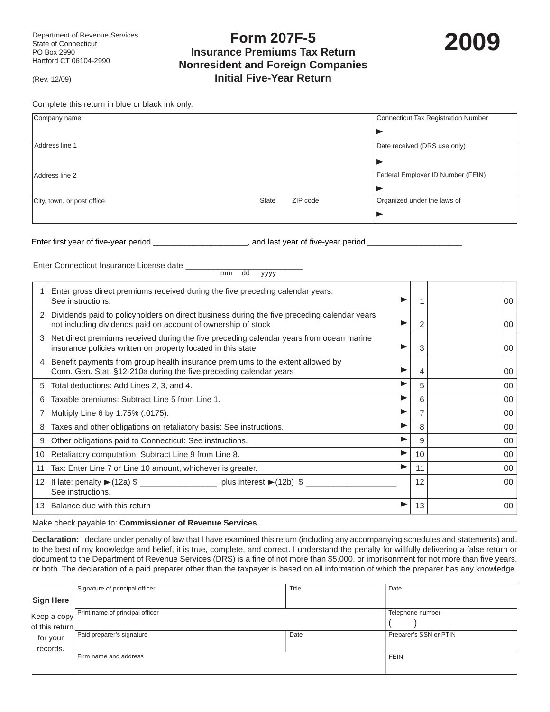**Form 207F-5 Insurance Premiums Tax Return Nonresident and Foreign Companies Initial Five-Year Return**



(Rev. 12/09)

Complete this return in blue or black ink only.

| Company name               |              |          | <b>Connecticut Tax Registration Number</b> |
|----------------------------|--------------|----------|--------------------------------------------|
|                            |              |          |                                            |
| Address line 1             |              |          | Date received (DRS use only)               |
|                            |              |          |                                            |
| Address line 2             |              |          | Federal Employer ID Number (FEIN)          |
|                            |              |          |                                            |
| City, town, or post office | <b>State</b> | ZIP code | Organized under the laws of                |
|                            |              |          |                                            |

Enter first year of five-year period \_\_\_\_\_\_\_\_\_\_\_\_\_\_\_\_\_\_\_\_\_\_, and last year of five-year period \_\_\_

Enter Connecticut Insurance License date \_\_\_\_\_\_\_\_\_\_\_\_\_\_\_\_\_\_\_\_\_\_\_\_\_\_

mm dd yyyy

|                 | Enter gross direct premiums received during the five preceding calendar years.<br>See instructions.                                                          |    | 00     |
|-----------------|--------------------------------------------------------------------------------------------------------------------------------------------------------------|----|--------|
|                 | Dividends paid to policyholders on direct business during the five preceding calendar years<br>not including dividends paid on account of ownership of stock |    | 00     |
|                 | Net direct premiums received during the five preceding calendar years from ocean marine<br>insurance policies written on property located in this state      | 3  | $00\,$ |
| 4               | Benefit payments from group health insurance premiums to the extent allowed by<br>Conn. Gen. Stat. §12-210a during the five preceding calendar years         | 4  | 00     |
| 5               | Total deductions: Add Lines 2, 3, and 4.                                                                                                                     | 5  | 00     |
| 6               | Taxable premiums: Subtract Line 5 from Line 1.                                                                                                               | 6  | $00\,$ |
|                 | Multiply Line 6 by 1.75% (.0175).                                                                                                                            |    | $00\,$ |
| 8               | Taxes and other obligations on retaliatory basis: See instructions.                                                                                          | 8  | 00     |
| 9               | Other obligations paid to Connecticut: See instructions.                                                                                                     | 9  | 00     |
| 10 <sup>1</sup> | Retaliatory computation: Subtract Line 9 from Line 8.                                                                                                        | 10 | $00\,$ |
| 11              | Tax: Enter Line 7 or Line 10 amount, whichever is greater.<br>▶                                                                                              | 11 | 00     |
| 12              | See instructions.                                                                                                                                            | 12 | $00\,$ |
| 13 <sup>1</sup> | Balance due with this return                                                                                                                                 | 13 | 00     |

Make check payable to: **Commissioner of Revenue Services**.

**Declaration:** I declare under penalty of law that I have examined this return (including any accompanying schedules and statements) and, to the best of my knowledge and belief, it is true, complete, and correct. I understand the penalty for willfully delivering a false return or document to the Department of Revenue Services (DRS) is a fine of not more than \$5,000, or imprisonment for not more than five years, or both. The declaration of a paid preparer other than the taxpayer is based on all information of which the preparer has any knowledge.

|                  | Signature of principal officer  | Title | Date                   |
|------------------|---------------------------------|-------|------------------------|
| <b>Sign Here</b> |                                 |       |                        |
| Keep a copy      | Print name of principal officer |       | Telephone number       |
| of this return   |                                 |       |                        |
| for your         | Paid preparer's signature       | Date  | Preparer's SSN or PTIN |
| records.         |                                 |       |                        |
|                  | Firm name and address           |       | <b>FEIN</b>            |
|                  |                                 |       |                        |